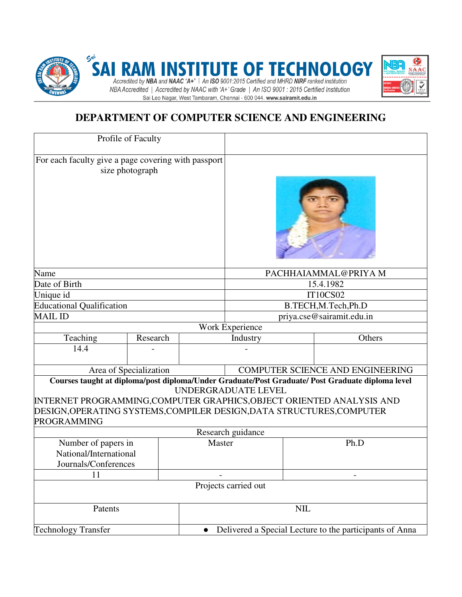

# **DEPARTMENT OF COMPUTER SCIENCE AND ENGINEERING**

| Profile of Faculty                                                                                                                                                                                                                                                                     |          |           |                                                         |  |                                  |
|----------------------------------------------------------------------------------------------------------------------------------------------------------------------------------------------------------------------------------------------------------------------------------------|----------|-----------|---------------------------------------------------------|--|----------------------------------|
| For each faculty give a page covering with passport<br>size photograph                                                                                                                                                                                                                 |          |           |                                                         |  |                                  |
|                                                                                                                                                                                                                                                                                        |          |           |                                                         |  |                                  |
| Name                                                                                                                                                                                                                                                                                   |          |           | PACHHAIAMMAL@PRIYAM                                     |  |                                  |
| Date of Birth                                                                                                                                                                                                                                                                          |          |           | 15.4.1982                                               |  |                                  |
| Unique id                                                                                                                                                                                                                                                                              |          |           | <b>IT10CS02</b>                                         |  |                                  |
| <b>Educational Qualification</b>                                                                                                                                                                                                                                                       |          |           | B.TECH, M.Tech, Ph.D                                    |  |                                  |
| <b>MAIL ID</b>                                                                                                                                                                                                                                                                         |          |           | priya.cse@sairamit.edu.in                               |  |                                  |
| Work Experience                                                                                                                                                                                                                                                                        |          |           |                                                         |  |                                  |
| Teaching                                                                                                                                                                                                                                                                               | Research |           | Industry                                                |  | Others                           |
| 14.4                                                                                                                                                                                                                                                                                   |          |           |                                                         |  |                                  |
| Area of Specialization                                                                                                                                                                                                                                                                 |          |           |                                                         |  | COMPUTER SCIENCE AND ENGINEERING |
| Courses taught at diploma/post diploma/Under Graduate/Post Graduate/ Post Graduate diploma level<br>UNDERGRADUATE LEVEL<br>INTERNET PROGRAMMING,COMPUTER GRAPHICS,OBJECT ORIENTED ANALYSIS AND<br>DESIGN, OPERATING SYSTEMS, COMPILER DESIGN, DATA STRUCTURES, COMPUTER<br>PROGRAMMING |          |           |                                                         |  |                                  |
| Research guidance                                                                                                                                                                                                                                                                      |          |           |                                                         |  |                                  |
| Number of papers in<br>National/International<br>Journals/Conferences                                                                                                                                                                                                                  |          | Master    |                                                         |  | Ph.D                             |
| 11                                                                                                                                                                                                                                                                                     |          |           |                                                         |  |                                  |
| Projects carried out                                                                                                                                                                                                                                                                   |          |           |                                                         |  |                                  |
| Patents                                                                                                                                                                                                                                                                                |          |           | $\text{NIL}$                                            |  |                                  |
| <b>Technology Transfer</b>                                                                                                                                                                                                                                                             |          | $\bullet$ | Delivered a Special Lecture to the participants of Anna |  |                                  |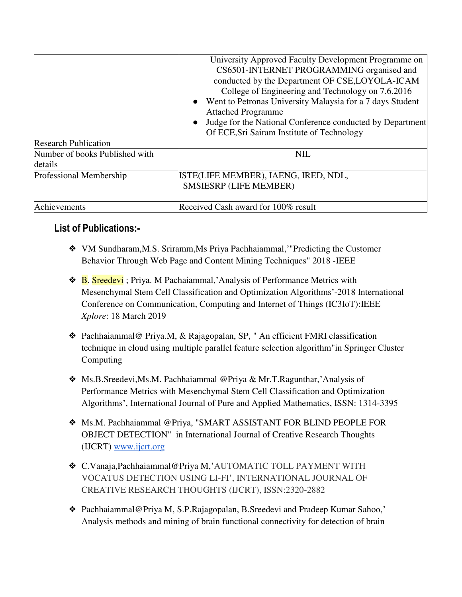|                                | University Approved Faculty Development Programme on<br>CS6501-INTERNET PROGRAMMING organised and<br>conducted by the Department OF CSE, LOYOLA-ICAM     |
|--------------------------------|----------------------------------------------------------------------------------------------------------------------------------------------------------|
|                                | College of Engineering and Technology on 7.6.2016<br>Went to Petronas University Malaysia for a 7 days Student<br>$\bullet$<br><b>Attached Programme</b> |
|                                | Judge for the National Conference conducted by Department<br>$\bullet$<br>Of ECE, Sri Sairam Institute of Technology                                     |
| <b>Research Publication</b>    |                                                                                                                                                          |
| Number of books Published with | <b>NIL</b>                                                                                                                                               |
| details                        |                                                                                                                                                          |
| Professional Membership        | ISTE(LIFE MEMBER), IAENG, IRED, NDL,<br><b>SMSIESRP (LIFE MEMBER)</b>                                                                                    |
| Achievements                   | Received Cash award for 100% result                                                                                                                      |

## **List of Publications:-**

- ❖ [VM Sundharam,](https://www.researchgate.net/scientific-contributions/2150001769_VM_Sundharam)[M.S. Sriramm,](https://www.researchgate.net/scientific-contributions/2154929197_MS_Sriramm)Ms [Priya Pachhaiammal,](https://www.researchgate.net/scientific-contributions/2154930960_Priya_Pachhaiammal)'"Predicting the Customer Behavior Through Web Page and Content Mining Techniques" 2018 -IEEE
- **❖ B. Sreedevi**; [Priya. M Pachaiammal,](https://ieeexplore.ieee.org/author/37086799920) Analysis of Performance Metrics with [Mesenchymal Stem Cell Classification and Optimization Algorithms](https://ieeexplore.ieee.org/document/8668205/)'[-2018 International](https://ieeexplore.ieee.org/xpl/conhome/8663973/proceeding)  [Conference on Communication, Computing and Internet of Things \(IC3IoT\):](https://ieeexplore.ieee.org/xpl/conhome/8663973/proceeding)IEEE *Xplore*: 18 March 2019
- ❖ Pachhaiammal@ Priya.M, & Rajagopalan, SP, " An efficient FMRI classification technique in cloud using multiple parallel feature selection algorithm"in Springer Cluster Computing
- ❖ Ms.B.Sreedevi,Ms.M. Pachhaiammal @Priya & Mr.T.Ragunthar,'Analysis of Performance Metrics with Mesenchymal Stem Cell Classification and Optimization Algorithms', International Journal of Pure and Applied Mathematics, ISSN: 1314-3395
- ❖ Ms.M. Pachhaiammal @Priya, "SMART ASSISTANT FOR BLIND PEOPLE FOR OBJECT DETECTION" in International Journal of Creative Research Thoughts (IJCRT) [www.ijcrt.org](http://www.ijcrt.org/)
- ❖ C.Vanaja,Pachhaiammal@Priya M,'AUTOMATIC TOLL PAYMENT WITH VOCATUS DETECTION USING LI-FI', INTERNATIONAL JOURNAL OF CREATIVE RESEARCH THOUGHTS (IJCRT), ISSN:2320-2882
- ❖ Pachhaiammal@Priya M, S.P.Rajagopalan, B.Sreedevi and Pradeep Kumar Sahoo,' Analysis methods and mining of brain functional connectivity for detection of brain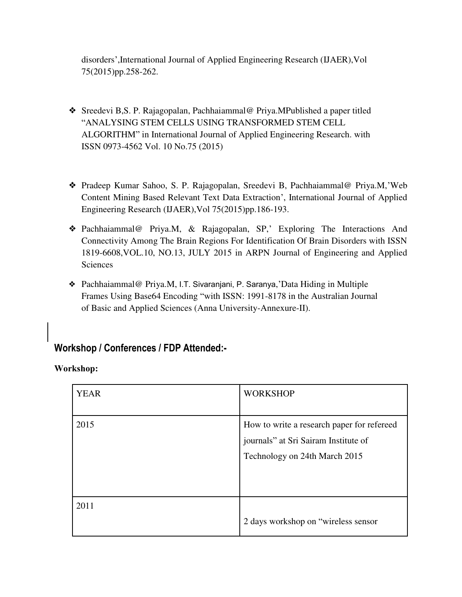disorders',International Journal of Applied Engineering Research (IJAER),Vol 75(2015)pp.258-262.

- ❖ Sreedevi B,S. P. Rajagopalan, Pachhaiammal@ Priya.MPublished a paper titled "ANALYSING STEM CELLS USING TRANSFORMED STEM CELL ALGORITHM" in International Journal of Applied Engineering Research. with ISSN 0973-4562 Vol. 10 No.75 (2015)
- ❖ Pradeep Kumar Sahoo, S. P. Rajagopalan, Sreedevi B, Pachhaiammal@ Priya.M,'Web Content Mining Based Relevant Text Data Extraction', International Journal of Applied Engineering Research (IJAER),Vol 75(2015)pp.186-193.
- ❖ Pachhaiammal@ Priya.M, & Rajagopalan, SP,' Exploring The Interactions And Connectivity Among The Brain Regions For Identification Of Brain Disorders with ISSN 1819-6608,VOL.10, NO.13, JULY 2015 in ARPN Journal of Engineering and Applied Sciences
- ❖ Pachhaiammal@ Priya.M, I.T. Sivaranjani, P. Saranya,'Data Hiding in Multiple Frames Using Base64 Encoding "with ISSN: 1991-8178 in the Australian Journal of Basic and Applied Sciences (Anna University-Annexure-II).

## **Workshop / Conferences / FDP Attended:-**

**Workshop:** 

| <b>YEAR</b> | <b>WORKSHOP</b>                                                                                                     |
|-------------|---------------------------------------------------------------------------------------------------------------------|
| 2015        | How to write a research paper for refereed<br>journals" at Sri Sairam Institute of<br>Technology on 24th March 2015 |
| 2011        | 2 days workshop on "wireless sensor"                                                                                |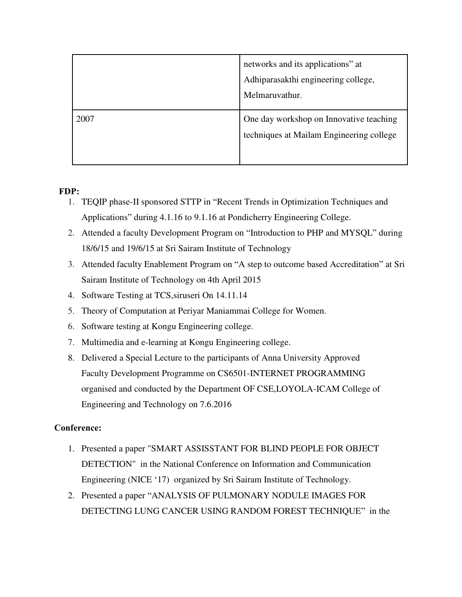|      | networks and its applications" at<br>Adhiparasakthi engineering college,<br>Melmaruvathur. |
|------|--------------------------------------------------------------------------------------------|
| 2007 | One day workshop on Innovative teaching<br>techniques at Mailam Engineering college        |

#### **FDP:**

- 1. TEQIP phase-II sponsored STTP in "Recent Trends in Optimization Techniques and Applications" during 4.1.16 to 9.1.16 at Pondicherry Engineering College.
- 2. Attended a faculty Development Program on "Introduction to PHP and MYSQL" during 18/6/15 and 19/6/15 at Sri Sairam Institute of Technology
- 3. Attended faculty Enablement Program on "A step to outcome based Accreditation" at Sri Sairam Institute of Technology on 4th April 2015
- 4. Software Testing at TCS,siruseri On 14.11.14
- 5. Theory of Computation at Periyar Maniammai College for Women.
- 6. Software testing at Kongu Engineering college.
- 7. Multimedia and e-learning at Kongu Engineering college.
- 8. Delivered a Special Lecture to the participants of Anna University Approved Faculty Development Programme on CS6501-INTERNET PROGRAMMING organised and conducted by the Department OF CSE,LOYOLA-ICAM College of Engineering and Technology on 7.6.2016

### **Conference:**

- 1. Presented a paper "SMART ASSISSTANT FOR BLIND PEOPLE FOR OBJECT DETECTION" in the National Conference on Information and Communication Engineering (NICE '17) organized by Sri Sairam Institute of Technology.
- 2. Presented a paper "ANALYSIS OF PULMONARY NODULE IMAGES FOR DETECTING LUNG CANCER USING RANDOM FOREST TECHNIQUE" in the